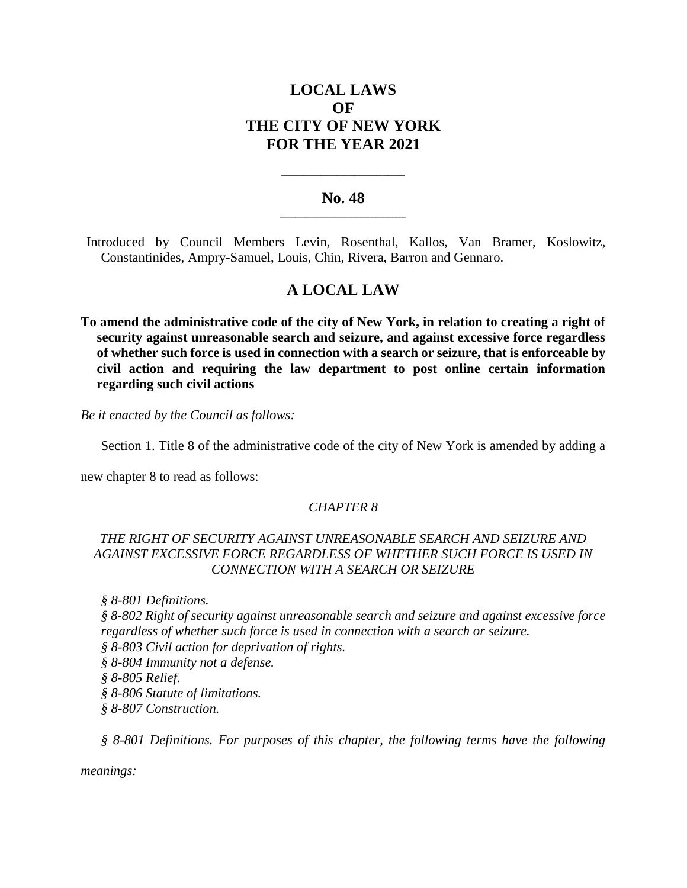# **LOCAL LAWS OF THE CITY OF NEW YORK FOR THE YEAR 2021**

### **No. 48 \_\_\_\_\_\_\_\_\_\_\_\_\_\_\_\_\_\_\_\_\_\_\_\_\_**

**\_\_\_\_\_\_\_\_\_\_\_\_\_\_\_\_\_\_\_\_\_\_**

Introduced by Council Members Levin, Rosenthal, Kallos, Van Bramer, Koslowitz, Constantinides, Ampry-Samuel, Louis, Chin, Rivera, Barron and Gennaro.

## **A LOCAL LAW**

**To amend the administrative code of the city of New York, in relation to creating a right of security against unreasonable search and seizure, and against excessive force regardless of whether such force is used in connection with a search or seizure, that is enforceable by civil action and requiring the law department to post online certain information regarding such civil actions**

*Be it enacted by the Council as follows:*

Section 1. Title 8 of the administrative code of the city of New York is amended by adding a

new chapter 8 to read as follows:

### *CHAPTER 8*

## *THE RIGHT OF SECURITY AGAINST UNREASONABLE SEARCH AND SEIZURE AND AGAINST EXCESSIVE FORCE REGARDLESS OF WHETHER SUCH FORCE IS USED IN CONNECTION WITH A SEARCH OR SEIZURE*

*§ 8-801 Definitions.*

*§ 8-802 Right of security against unreasonable search and seizure and against excessive force regardless of whether such force is used in connection with a search or seizure.*

- *§ 8-803 Civil action for deprivation of rights.*
- *§ 8-804 Immunity not a defense.*

*§ 8-805 Relief.*

*§ 8-806 Statute of limitations.*

*§ 8-807 Construction.*

*§ 8-801 Definitions. For purposes of this chapter, the following terms have the following* 

*meanings:*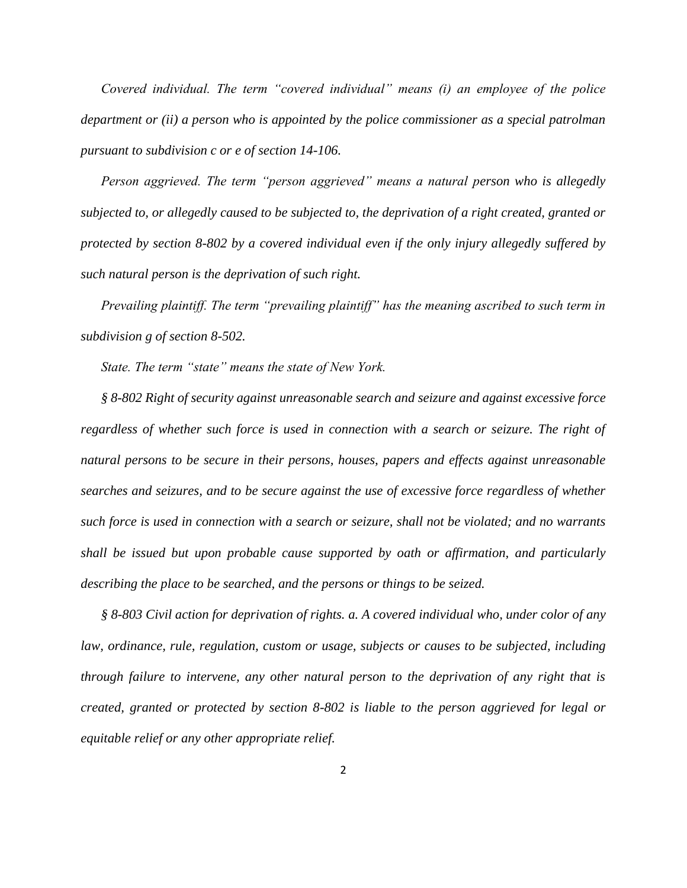*Covered individual. The term "covered individual" means (i) an employee of the police department or (ii) a person who is appointed by the police commissioner as a special patrolman pursuant to subdivision c or e of section 14-106.*

*Person aggrieved. The term "person aggrieved" means a natural person who is allegedly subjected to, or allegedly caused to be subjected to, the deprivation of a right created, granted or protected by section 8-802 by a covered individual even if the only injury allegedly suffered by such natural person is the deprivation of such right.*

*Prevailing plaintiff. The term "prevailing plaintiff" has the meaning ascribed to such term in subdivision g of section 8-502.*

*State. The term "state" means the state of New York.*

*§ 8-802 Right of security against unreasonable search and seizure and against excessive force regardless of whether such force is used in connection with a search or seizure. The right of natural persons to be secure in their persons, houses, papers and effects against unreasonable searches and seizures, and to be secure against the use of excessive force regardless of whether such force is used in connection with a search or seizure, shall not be violated; and no warrants shall be issued but upon probable cause supported by oath or affirmation, and particularly describing the place to be searched, and the persons or things to be seized.*

*§ 8-803 Civil action for deprivation of rights. a. A covered individual who, under color of any law, ordinance, rule, regulation, custom or usage, subjects or causes to be subjected, including through failure to intervene, any other natural person to the deprivation of any right that is created, granted or protected by section 8-802 is liable to the person aggrieved for legal or equitable relief or any other appropriate relief.*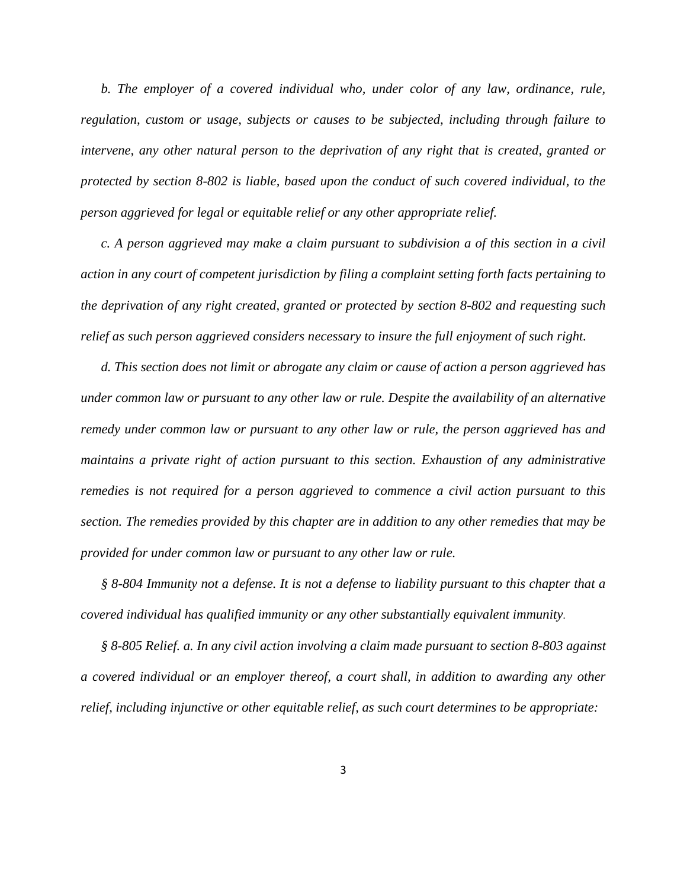*b. The employer of a covered individual who, under color of any law, ordinance, rule, regulation, custom or usage, subjects or causes to be subjected, including through failure to intervene, any other natural person to the deprivation of any right that is created, granted or protected by section 8-802 is liable, based upon the conduct of such covered individual, to the person aggrieved for legal or equitable relief or any other appropriate relief.*

*c. A person aggrieved may make a claim pursuant to subdivision a of this section in a civil action in any court of competent jurisdiction by filing a complaint setting forth facts pertaining to the deprivation of any right created, granted or protected by section 8-802 and requesting such relief as such person aggrieved considers necessary to insure the full enjoyment of such right.* 

*d. This section does not limit or abrogate any claim or cause of action a person aggrieved has under common law or pursuant to any other law or rule. Despite the availability of an alternative remedy under common law or pursuant to any other law or rule, the person aggrieved has and maintains a private right of action pursuant to this section. Exhaustion of any administrative remedies is not required for a person aggrieved to commence a civil action pursuant to this section. The remedies provided by this chapter are in addition to any other remedies that may be provided for under common law or pursuant to any other law or rule.*

*§ 8-804 Immunity not a defense. It is not a defense to liability pursuant to this chapter that a covered individual has qualified immunity or any other substantially equivalent immunity.*

*§ 8-805 Relief. a. In any civil action involving a claim made pursuant to section 8-803 against a covered individual or an employer thereof, a court shall, in addition to awarding any other relief, including injunctive or other equitable relief, as such court determines to be appropriate:*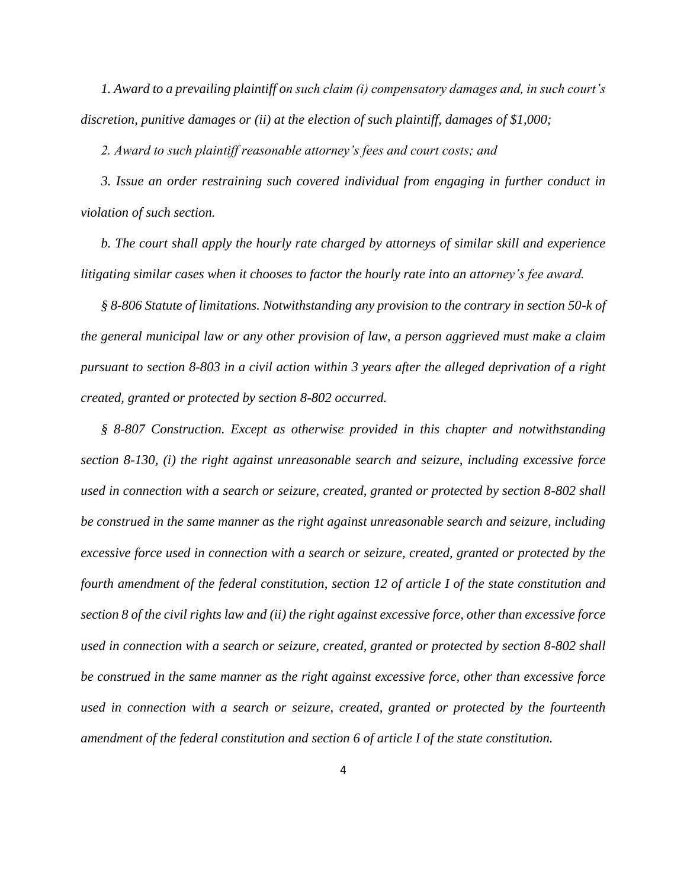*1. Award to a prevailing plaintiff on such claim (i) compensatory damages and, in such court's discretion, punitive damages or (ii) at the election of such plaintiff, damages of \$1,000;*

*2. Award to such plaintiff reasonable attorney's fees and court costs; and*

*3. Issue an order restraining such covered individual from engaging in further conduct in violation of such section.*

*b. The court shall apply the hourly rate charged by attorneys of similar skill and experience litigating similar cases when it chooses to factor the hourly rate into an attorney's fee award.*

*§ 8-806 Statute of limitations. Notwithstanding any provision to the contrary in section 50-k of the general municipal law or any other provision of law, a person aggrieved must make a claim pursuant to section 8-803 in a civil action within 3 years after the alleged deprivation of a right created, granted or protected by section 8-802 occurred.*

*§ 8-807 Construction. Except as otherwise provided in this chapter and notwithstanding section 8-130, (i) the right against unreasonable search and seizure, including excessive force used in connection with a search or seizure, created, granted or protected by section 8-802 shall be construed in the same manner as the right against unreasonable search and seizure, including excessive force used in connection with a search or seizure, created, granted or protected by the fourth amendment of the federal constitution, section 12 of article I of the state constitution and section 8 of the civil rights law and (ii) the right against excessive force, other than excessive force used in connection with a search or seizure, created, granted or protected by section 8-802 shall be construed in the same manner as the right against excessive force, other than excessive force used in connection with a search or seizure, created, granted or protected by the fourteenth amendment of the federal constitution and section 6 of article I of the state constitution.*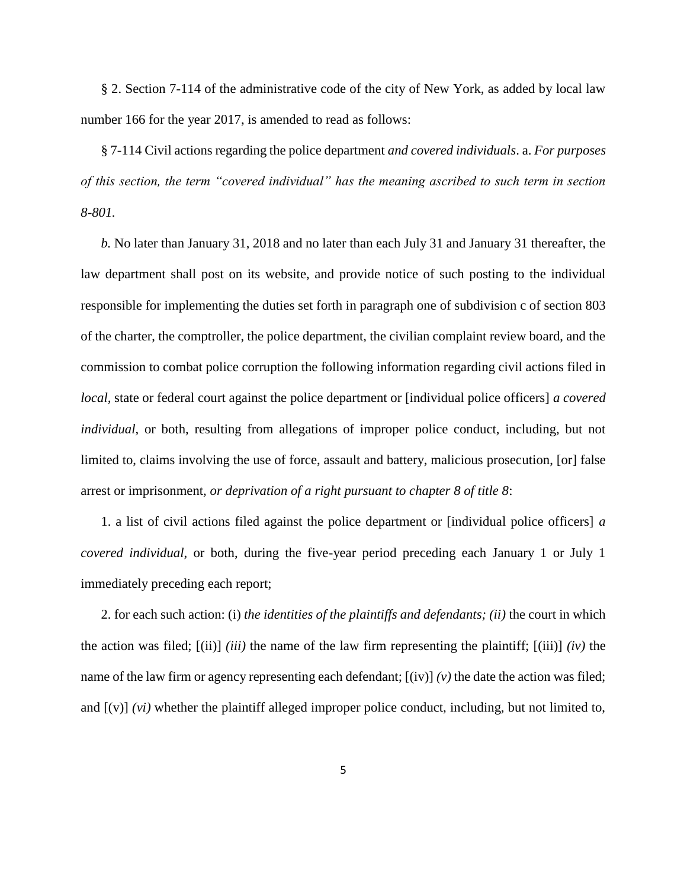§ 2. Section 7-114 of the administrative code of the city of New York, as added by local law number 166 for the year 2017, is amended to read as follows:

§ 7-114 Civil actions regarding the police department *and covered individuals*. a. *For purposes of this section, the term "covered individual" has the meaning ascribed to such term in section 8-801.*

*b.* No later than January 31, 2018 and no later than each July 31 and January 31 thereafter, the law department shall post on its website, and provide notice of such posting to the individual responsible for implementing the duties set forth in paragraph one of subdivision c of section 803 of the charter, the comptroller, the police department, the civilian complaint review board, and the commission to combat police corruption the following information regarding civil actions filed in *local,* state or federal court against the police department or [individual police officers] *a covered individual*, or both, resulting from allegations of improper police conduct, including, but not limited to, claims involving the use of force, assault and battery, malicious prosecution, [or] false arrest or imprisonment*, or deprivation of a right pursuant to chapter 8 of title 8*:

1. a list of civil actions filed against the police department or [individual police officers] *a covered individual*, or both, during the five-year period preceding each January 1 or July 1 immediately preceding each report;

2. for each such action: (i) *the identities of the plaintiffs and defendants; (ii)* the court in which the action was filed;  $[(ii)]$  *(iii) (iii)* the name of the law firm representing the plaintiff;  $[(iii)]$  *(iv)* the name of the law firm or agency representing each defendant;  $[(iv)] (v)$  the date the action was filed; and [(v)] *(vi)* whether the plaintiff alleged improper police conduct, including, but not limited to,